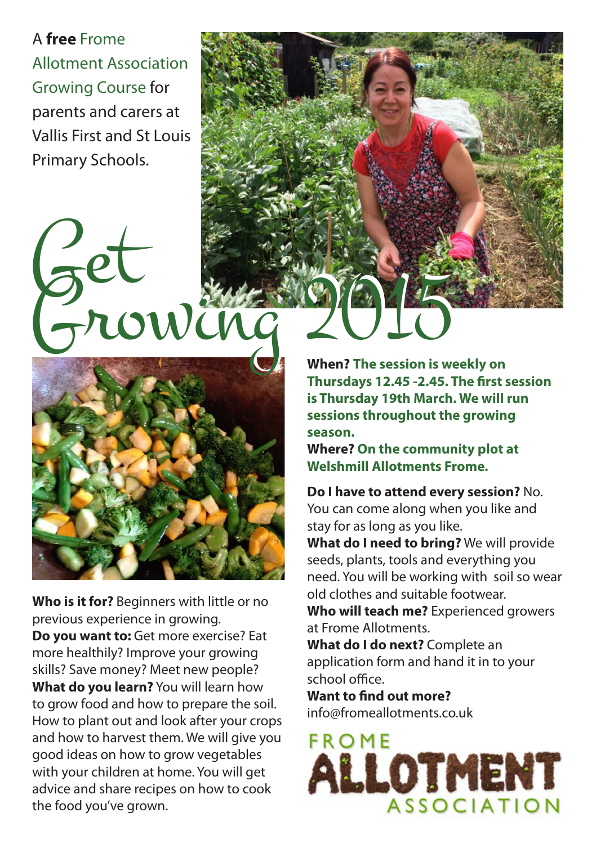A **free** Frome Allotment Association Growing Course for parents and carers at Vallis First and St Louis Primary Schools.

## Get Growing 2015 Get Growing 2015 **When? The session is weekly on**



**Who is it for?** Beginners with little or no previous experience in growing. **Do you want to:** Get more exercise? Eat more healthily? Improve your growing skills? Save money? Meet new people? **What do you learn?** You will learn how to grow food and how to prepare the soil. How to plant out and look after your crops and how to harvest them. We will give you good ideas on how to grow vegetables with your children at home. You will get advice and share recipes on how to cook the food you've grown.

**Thursdays 12.45 -2.45. The first session is Thursday 19th March. We will run sessions throughout the growing season.** 

**Where? On the community plot at Welshmill Allotments Frome.**

**Do I have to attend every session?** No. You can come along when you like and stay for as long as you like.

**What do I need to bring?** We will provide seeds, plants, tools and everything you need. You will be working with soil so wear old clothes and suitable footwear.

**Who will teach me?** Experienced growers at Frome Allotments.

**What do I do next?** Complete an application form and hand it in to your school office.

**Want to find out more?** info@fromeallotments.co.uk